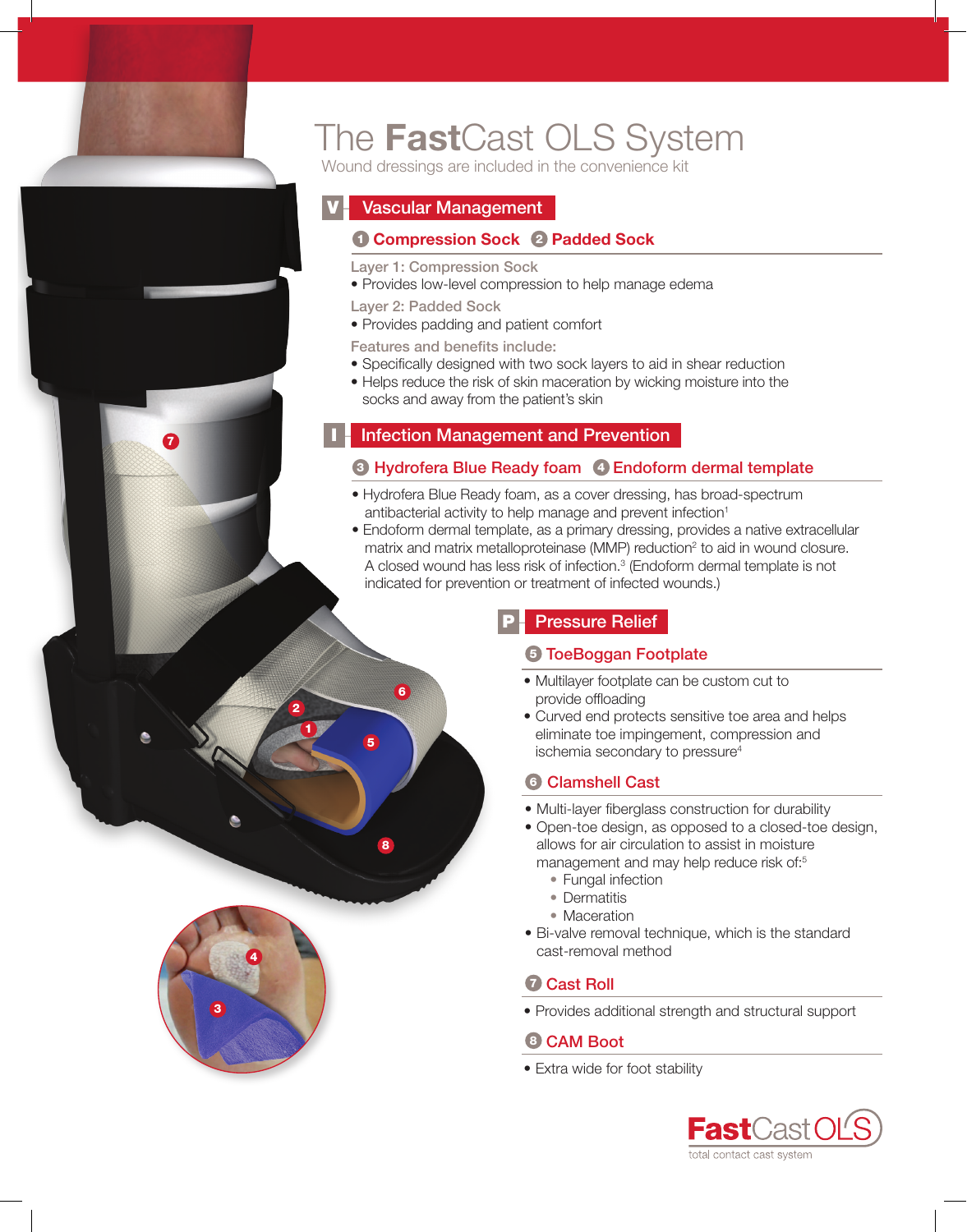

7

3

4

# The FastCast OLS System

Wound dressings are included in the convenience kit

# **Vascular Management**

# **1 Compression Sock 2 Padded Sock**

Layer 1: Compression Sock

- Provides low-level compression to help manage edema
- Layer 2: Padded Sock

5

1 2

6

8

• Provides padding and patient comfort

Features and benefits include:

- Specifically designed with two sock layers to aid in shear reduction
- Helps reduce the risk of skin maceration by wicking moisture into the socks and away from the patient's skin

# **Infection Management and Prevention**

# <sup>3</sup> Hydrofera Blue Ready foam <sup>4</sup> Endoform dermal template

- Hydrofera Blue Ready foam, as a cover dressing, has broad-spectrum antibacterial activity to help manage and prevent infection<sup>1</sup>
- Endoform dermal template, as a primary dressing, provides a native extracellular matrix and matrix metalloproteinase (MMP) reduction<sup>2</sup> to aid in wound closure. A closed wound has less risk of infection.<sup>3</sup> (Endoform dermal template is not indicated for prevention or treatment of infected wounds.)

# **Pressure Relief**

# **5 ToeBoggan Footplate**

- Multilayer footplate can be custom cut to provide offloading
- Curved end protects sensitive toe area and helps eliminate toe impingement, compression and ischemia secondary to pressure<sup>4</sup>

# **6 Clamshell Cast**

- Multi-layer fiberglass construction for durability
- • Open-toe design, as opposed to a closed-toe design, allows for air circulation to assist in moisture management and may help reduce risk of:<sup>5</sup>
	- Fungal infection
	- Dermatitis
	- Maceration
- Bi-valve removal technique, which is the standard cast-removal method

# *D* Cast Roll

• Provides additional strength and structural support

## <sup>8</sup> CAM Boot

• Extra wide for foot stability